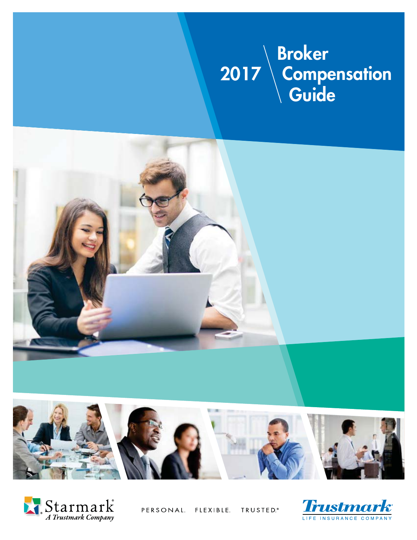### **Broker Compensation Suide 2017 Broker Compensation Guide 2017**







PERSONAL. FLEXIBLE. TRUSTED.<sup>®</sup>

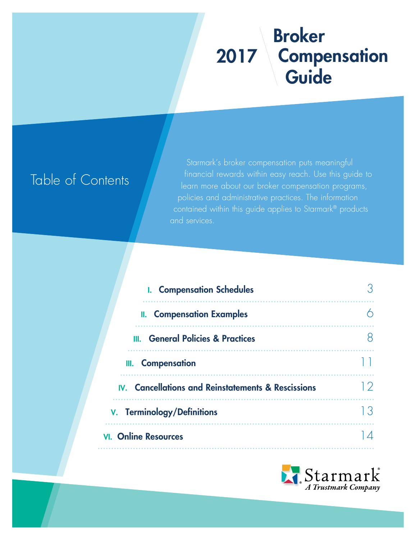# **Broker Compensation Guide 2017**

# Table of Contents

Starmark's broker compensation puts meaningful financial rewards within easy reach. Use this guide to learn more about our broker compensation programs, policies and administrative practices. The information contained within this guide applies to Starmark® products and services.

| <b>I.</b> Compensation Schedules                   |    |
|----------------------------------------------------|----|
| <b>II.</b> Compensation Examples                   |    |
| <b>III.</b> General Policies & Practices           |    |
| III. Compensation                                  |    |
| IV. Cancellations and Reinstatements & Rescissions |    |
| <b>V.</b> Terminology/Definitions                  | 33 |
| <b>VI.</b> Online Resources                        |    |

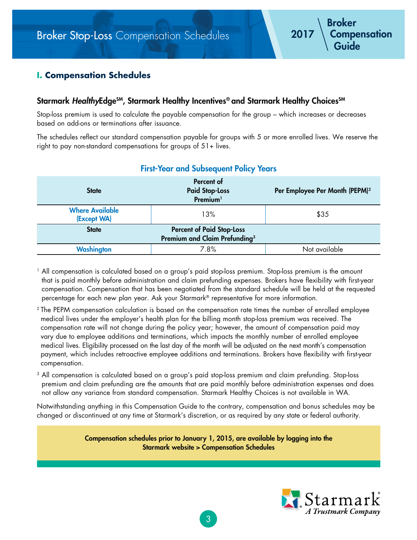# **I. Compensation Schedules**

## Starmark *Healthy***Edge<sup>SM</sup>, Starmark Healthy Incentives® and Starmark Healthy Choices<sup>SM</sup>**

Stop-loss premium is used to calculate the payable compensation for the group – which increases or decreases based on add-ons or terminations after issuance.

The schedules reflect our standard compensation payable for groups with 5 or more enrolled lives. We reserve the right to pay non-standard compensations for groups of 51+ lives.

| <b>State</b>                          | Percent of<br><b>Paid Stop-Loss</b><br>Premium <sup>1</sup>                   | Per Employee Per Month (PEPM) <sup>2</sup> |
|---------------------------------------|-------------------------------------------------------------------------------|--------------------------------------------|
| <b>Where Available</b><br>(Except WA) | 13%                                                                           | \$35                                       |
| <b>State</b>                          | <b>Percent of Paid Stop-Loss</b><br>Premium and Claim Prefunding <sup>3</sup> |                                            |
| <b>Washington</b>                     | 7.8%                                                                          | Not available                              |

### **First-Year and Subsequent Policy Years**

<sup>1</sup> All compensation is calculated based on a group's paid stop-loss premium. Stop-loss premium is the amount that is paid monthly before administration and claim prefunding expenses. Brokers have flexibility with first-year compensation. Compensation that has been negotiated from the standard schedule will be held at the requested percentage for each new plan year. Ask your Starmark® representative for more information.

- <sup>2</sup> The PEPM compensation calculation is based on the compensation rate times the number of enrolled employee medical lives under the employer's health plan for the billing month stop-loss premium was received. The compensation rate will not change during the policy year; however, the amount of compensation paid may vary due to employee additions and terminations, which impacts the monthly number of enrolled employee medical lives. Eligibility processed on the last day of the month will be adjusted on the next month's compensation payment, which includes retroactive employee additions and terminations. Brokers have flexibility with first-year compensation.
- <sup>3</sup> All compensation is calculated based on a group's paid stop-loss premium and claim prefunding. Stop-loss premium and claim prefunding are the amounts that are paid monthly before administration expenses and does not allow any variance from standard compensation. Starmark Healthy Choices is not available in WA.

Notwithstanding anything in this Compensation Guide to the contrary, compensation and bonus schedules may be changed or discontinued at any time at Starmark's discretion, or as required by any state or federal authority.

> **Compensation schedules prior to January 1, 2015, are available by logging into the Starmark website > Compensation Schedules**

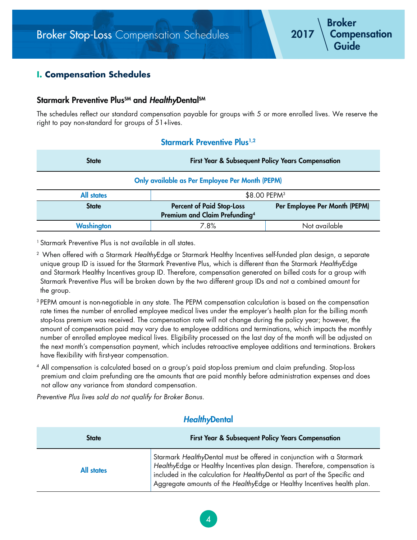# **I. Compensation Schedules**

### Starmark Preventive Plus<sup>SM</sup> and *Healthy*Dental<sup>SM</sup>

The schedules reflect our standard compensation payable for groups with 5 or more enrolled lives. We reserve the right to pay non-standard for groups of 51+lives.

### **Starmark Preventive Plus<sup>1,2</sup>**

| <b>State</b>      | <b>First Year &amp; Subsequent Policy Years Compensation</b>                  |                               |  |
|-------------------|-------------------------------------------------------------------------------|-------------------------------|--|
|                   | <b>Only available as Per Employee Per Month (PEPM)</b>                        |                               |  |
| <b>All states</b> |                                                                               | \$8.00 PEPM <sup>3</sup>      |  |
| <b>State</b>      | <b>Percent of Paid Stop-Loss</b><br>Premium and Claim Prefunding <sup>4</sup> | Per Employee Per Month (PEPM) |  |
| Washington        | 7.8%                                                                          | Not available                 |  |

1 Starmark Preventive Plus is not available in all states.

<sup>2</sup> When offered with a Starmark HealthyEdge or Starmark Healthy Incentives self-funded plan design, a separate unique group ID is issued for the Starmark Preventive Plus, which is different than the Starmark HealthyEdge and Starmark Healthy Incentives group ID. Therefore, compensation generated on billed costs for a group with Starmark Preventive Plus will be broken down by the two different group IDs and not a combined amount for the group.

3 PEPM amount is non-negotiable in any state. The PEPM compensation calculation is based on the compensation rate times the number of enrolled employee medical lives under the employer's health plan for the billing month stop-loss premium was received. The compensation rate will not change during the policy year; however, the amount of compensation paid may vary due to employee additions and terminations, which impacts the monthly number of enrolled employee medical lives. Eligibility processed on the last day of the month will be adjusted on the next month's compensation payment, which includes retroactive employee additions and terminations. Brokers have flexibility with first-year compensation.

4 All compensation is calculated based on a group's paid stop-loss premium and claim prefunding. Stop-loss premium and claim prefunding are the amounts that are paid monthly before administration expenses and does not allow any variance from standard compensation.

Preventive Plus lives sold do not qualify for Broker Bonus.

## *Healthy***Dental**

| <b>State</b> | <b>First Year &amp; Subsequent Policy Years Compensation</b>                                                                                                                                                                                                                                               |
|--------------|------------------------------------------------------------------------------------------------------------------------------------------------------------------------------------------------------------------------------------------------------------------------------------------------------------|
| All states   | Starmark HealthyDental must be offered in conjunction with a Starmark<br>HealthyEdge or Healthy Incentives plan design. Therefore, compensation is<br>included in the calculation for HealthyDental as part of the Specific and<br>Aggregate amounts of the HealthyEdge or Healthy Incentives health plan. |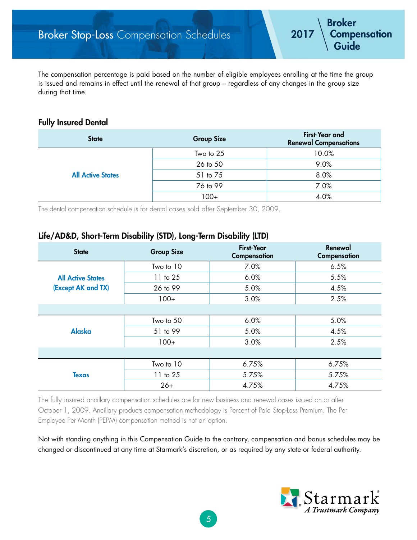The compensation percentage is paid based on the number of eligible employees enrolling at the time the group is issued and remains in effect until the renewal of that group – regardless of any changes in the group size during that time.

### **Fully Insured Dental**

| <b>State</b>             | <b>First-Year and</b><br><b>Group Size</b><br><b>Renewal Compensations</b><br>10.0%<br>Two to 25<br>9.0%<br>26 to 50<br>8.0%<br>51 to 75<br>7.0%<br>76 to 99 |      |
|--------------------------|--------------------------------------------------------------------------------------------------------------------------------------------------------------|------|
|                          |                                                                                                                                                              |      |
|                          |                                                                                                                                                              |      |
| <b>All Active States</b> |                                                                                                                                                              |      |
|                          |                                                                                                                                                              |      |
|                          | $100+$                                                                                                                                                       | 4.0% |

The dental compensation schedule is for dental cases sold after September 30, 2009.

## **Life/AD&D, Short-Term Disability (STD), Long-Term Disability (LTD)**

| <b>State</b>             | <b>Group Size</b> | <b>First-Year</b><br>Compensation | Renewal<br>Compensation |
|--------------------------|-------------------|-----------------------------------|-------------------------|
|                          | Two to 10         | 7.0%                              | 6.5%                    |
| <b>All Active States</b> | 11 to 25          | 6.0%                              | 5.5%                    |
| (Except AK and TX)       | 26 to 99          | 5.0%                              | 4.5%                    |
|                          | $100+$            | 3.0%                              | 2.5%                    |
|                          |                   |                                   |                         |
|                          | Two to 50         | 6.0%                              | 5.0%                    |
| <b>Alaska</b>            | 51 to 99          | 5.0%                              | 4.5%                    |
|                          | $100+$            | 3.0%                              | 2.5%                    |
|                          |                   |                                   |                         |
|                          | Two to 10         | 6.75%                             | 6.75%                   |
| <b>Texas</b>             | 11 to 25          | 5.75%                             | 5.75%                   |
|                          | $26+$             | 4.75%                             | 4.75%                   |

The fully insured ancillary compensation schedules are for new business and renewal cases issued on or after October 1, 2009. Ancillary products compensation methodology is Percent of Paid Stop-Loss Premium. The Per Employee Per Month (PEPM) compensation method is not an option.

Not with standing anything in this Compensation Guide to the contrary, compensation and bonus schedules may be changed or discontinued at any time at Starmark's discretion, or as required by any state or federal authority.

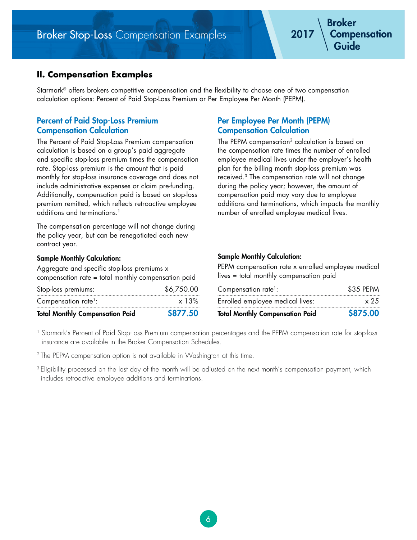# **II. Compensation Examples**

Starmark® offers brokers competitive compensation and the flexibility to choose one of two compensation calculation options: Percent of Paid Stop-Loss Premium or Per Employee Per Month (PEPM).

## **Percent of Paid Stop-Loss Premium Compensation Calculation**

The Percent of Paid Stop-Loss Premium compensation calculation is based on a group's paid aggregate and specific stop-loss premium times the compensation rate. Stop-loss premium is the amount that is paid monthly for stop-loss insurance coverage and does not include administrative expenses or claim pre-funding. Additionally, compensation paid is based on stop-loss premium remitted, which reflects retroactive employee additions and terminations.<sup>1</sup>

The compensation percentage will not change during the policy year, but can be renegotiated each new contract year.

### **Sample Monthly Calculation:**

Aggregate and specific stop-loss premiums x compensation rate = total monthly compensation paid

| <b>Total Monthly Compensation Paid</b> | \$877.50     |
|----------------------------------------|--------------|
| Compensation rate <sup>1</sup> :       | $\times$ 13% |
| Stop-loss premiums:                    | \$6,750.00   |

### **Per Employee Per Month (PEPM) Compensation Calculation**

The PEPM compensation<sup>2</sup> calculation is based on the compensation rate times the number of enrolled employee medical lives under the employer's health plan for the billing month stop-loss premium was received.3 The compensation rate will not change during the policy year; however, the amount of compensation paid may vary due to employee additions and terminations, which impacts the monthly number of enrolled employee medical lives.

### **Sample Monthly Calculation:**

PEPM compensation rate x enrolled employee medical lives = total monthly compensation paid

| <b>Total Monthly Compensation Paid</b> | \$875.00  |
|----------------------------------------|-----------|
| Enrolled employee medical lives:       | x 25      |
| Compensation rate <sup>1</sup> :       | \$35 PEPM |

1 Starmark's Percent of Paid Stop-Loss Premium compensation percentages and the PEPM compensation rate for stop-loss insurance are available in the Broker Compensation Schedules.

<sup>2</sup> The PEPM compensation option is not available in Washington at this time.

<sup>3</sup> Eligibility processed on the last day of the month will be adjusted on the next month's compensation payment, which includes retroactive employee additions and terminations.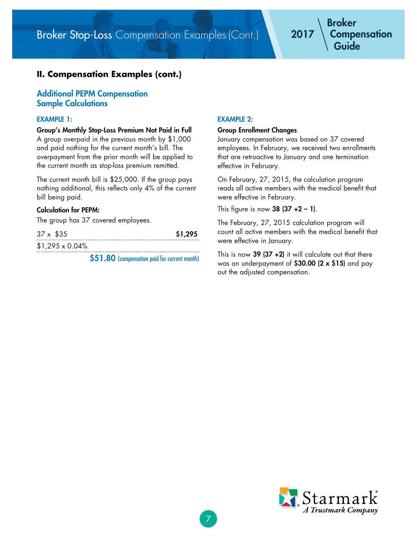Broker Stop-Loss Compensation Examples (Cont.)

# **II. Compensation Examples (cont.)**

### **Additional PEPM Compensation Sample Calculations**

#### **EXAMPLE 1:**

**Group's Monthly Stop-Loss Premium Not Paid in Full** A group overpaid in the previous month by \$1,000 and paid nothing for the current month's bill. The overpayment from the prior month will be applied to the current month as stop-loss premium remitted.

The current month bill is \$25,000. If the group pays nothing additional, this reflects only 4% of the current bill being paid.

#### **Calculation for PEPM:**

The group has 37 covered employees.

| $37 \times $35$        | \$1,295 |
|------------------------|---------|
| $$1,295 \times 0.04\%$ |         |

**\$51.80** (compensation paid for current month)

### **EXAMPLE 2:**

#### **Group Enrollment Changes**

January compensation was based on 37 covered employees. In February, we received two enrollments that are retroactive to January and one termination effective in February.

On February, 27, 2015, the calculation program reads all active members with the medical benefit that were effective in February.

This figure is now **38 (37 +2 – 1)**.

The February, 27, 2015 calculation program will count all active members with the medical benefit that were effective in January.

This is now **39 (37 +2)** it will calculate out that there was an underpayment of **\$30.00 (2 x \$15)** and pay out the adjusted compensation.

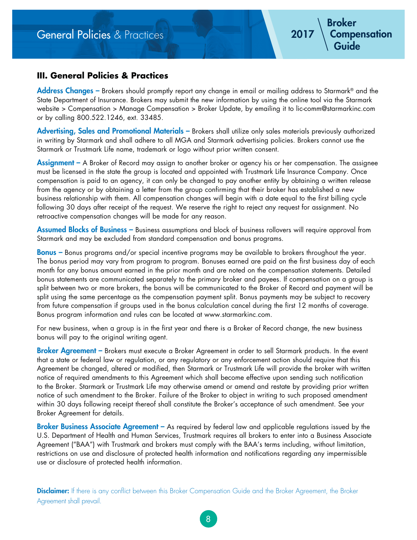# General Policies & Practices

## **III. General Policies & Practices**

**Address Changes –** Brokers should promptly report any change in email or mailing address to Starmark® and the State Department of Insurance. Brokers may submit the new information by using the online tool via the Starmark website > Compensation > Manage Compensation > Broker Update, by emailing it to lic-comm@starmarkinc.com or by calling 800.522.1246, ext. 33485.

**Advertising, Sales and Promotional Materials –** Brokers shall utilize only sales materials previously authorized in writing by Starmark and shall adhere to all MGA and Starmark advertising policies. Brokers cannot use the Starmark or Trustmark Life name, trademark or logo without prior written consent.

**Assignment –** A Broker of Record may assign to another broker or agency his or her compensation. The assignee must be licensed in the state the group is located and appointed with Trustmark Life Insurance Company. Once compensation is paid to an agency, it can only be changed to pay another entity by obtaining a written release from the agency or by obtaining a letter from the group confirming that their broker has established a new business relationship with them. All compensation changes will begin with a date equal to the first billing cycle following 30 days after receipt of the request. We reserve the right to reject any request for assignment. No retroactive compensation changes will be made for any reason.

**Assumed Blocks of Business –** Business assumptions and block of business rollovers will require approval from Starmark and may be excluded from standard compensation and bonus programs.

**Bonus –** Bonus programs and/or special incentive programs may be available to brokers throughout the year. The bonus period may vary from program to program. Bonuses earned are paid on the first business day of each month for any bonus amount earned in the prior month and are noted on the compensation statements. Detailed bonus statements are communicated separately to the primary broker and payees. If compensation on a group is split between two or more brokers, the bonus will be communicated to the Broker of Record and payment will be split using the same percentage as the compensation payment split. Bonus payments may be subject to recovery from future compensation if groups used in the bonus calculation cancel during the first 12 months of coverage. Bonus program information and rules can be located at www.starmarkinc.com.

For new business, when a group is in the first year and there is a Broker of Record change, the new business bonus will pay to the original writing agent.

**Broker Agreement –** Brokers must execute a Broker Agreement in order to sell Starmark products. In the event that a state or federal law or regulation, or any regulatory or any enforcement action should require that this Agreement be changed, altered or modified, then Starmark or Trustmark Life will provide the broker with written notice of required amendments to this Agreement which shall become effective upon sending such notification to the Broker. Starmark or Trustmark Life may otherwise amend or amend and restate by providing prior written notice of such amendment to the Broker. Failure of the Broker to object in writing to such proposed amendment within 30 days following receipt thereof shall constitute the Broker's acceptance of such amendment. See your Broker Agreement for details.

**Broker Business Associate Agreement** - As required by federal law and applicable regulations issued by the U.S. Department of Health and Human Services, Trustmark requires all brokers to enter into a Business Associate Agreement ("BAA") with Trustmark and brokers must comply with the BAA's terms including, without limitation, restrictions on use and disclosure of protected health information and notifications regarding any impermissible use or disclosure of protected health information.

**Disclaimer:** If there is any conflict between this Broker Compensation Guide and the Broker Agreement, the Broker Agreement shall prevail.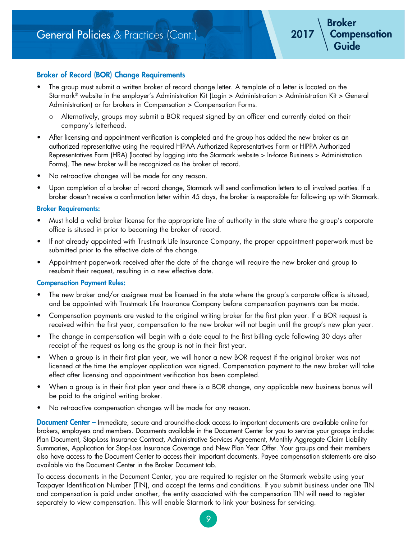### **Broker of Record (BOR) Change Requirements**

- The group must submit a written broker of record change letter. A template of a letter is located on the Starmark® website in the employer's Administration Kit (Login > Administration > Administration Kit > General Administration) or for brokers in Compensation > Compensation Forms.
	- { Alternatively, groups may submit a BOR request signed by an officer and currently dated on their company's letterhead.
- After licensing and appointment verification is completed and the group has added the new broker as an authorized representative using the required HIPAA Authorized Representatives Form or HIPPA Authorized Representatives Form (HRA) (located by logging into the Starmark website > In-force Business > Administration Forms). The new broker will be recognized as the broker of record.
- No retroactive changes will be made for any reason.
- Upon completion of a broker of record change, Starmark will send confirmation letters to all involved parties. If a broker doesn't receive a confirmation letter within 45 days, the broker is responsible for following up with Starmark.

#### **Broker Requirements:**

- Must hold a valid broker license for the appropriate line of authority in the state where the group's corporate office is sitused in prior to becoming the broker of record.
- If not already appointed with Trustmark Life Insurance Company, the proper appointment paperwork must be submitted prior to the effective date of the change.
- Appointment paperwork received after the date of the change will require the new broker and group to resubmit their request, resulting in a new effective date.

### **Compensation Payment Rules:**

- The new broker and/or assignee must be licensed in the state where the group's corporate office is sitused, and be appointed with Trustmark Life Insurance Company before compensation payments can be made.
- Compensation payments are vested to the original writing broker for the first plan year. If a BOR request is received within the first year, compensation to the new broker will not begin until the group's new plan year.
- The change in compensation will begin with a date equal to the first billing cycle following 30 days after receipt of the request as long as the group is not in their first year.
- When a group is in their first plan year, we will honor a new BOR request if the original broker was not licensed at the time the employer application was signed. Compensation payment to the new broker will take effect after licensing and appointment verification has been completed.
- When a group is in their first plan year and there is a BOR change, any applicable new business bonus will be paid to the original writing broker.
- No retroactive compensation changes will be made for any reason.

**Document Center –** Immediate, secure and around-the-clock access to important documents are available online for brokers, employers and members. Documents available in the Document Center for you to service your groups include: Plan Document, Stop-Loss Insurance Contract, Administrative Services Agreement, Monthly Aggregate Claim Liability Summaries, Application for Stop-Loss Insurance Coverage and New Plan Year Offer. Your groups and their members also have access to the Document Center to access their important documents. Payee compensation statements are also available via the Document Center in the Broker Document tab.

To access documents in the Document Center, you are required to register on the Starmark website using your Taxpayer Identification Number (TIN), and accept the terms and conditions. If you submit business under one TIN and compensation is paid under another, the entity associated with the compensation TIN will need to register separately to view compensation. This will enable Starmark to link your business for servicing.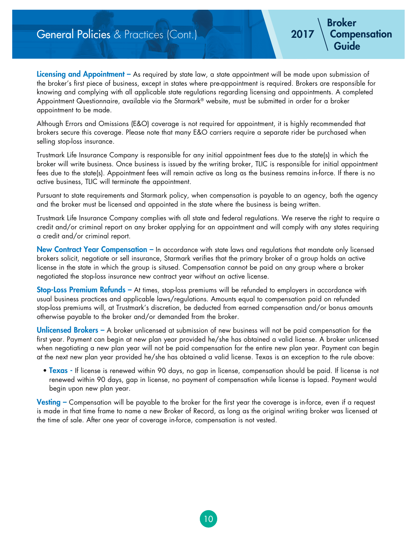# **General Policies & Practices (Cont.)**

**Licensing and Appointment** – As required by state law, a state appointment will be made upon submission of the broker's first piece of business, except in states where pre-appointment is required. Brokers are responsible for knowing and complying with all applicable state regulations regarding licensing and appointments. A completed Appointment Questionnaire, available via the Starmark® website, must be submitted in order for a broker appointment to be made.

**Broker**

 **Guide**

 **Compensation**

Although Errors and Omissions (E&O) coverage is not required for appointment, it is highly recommended that brokers secure this coverage. Please note that many E&O carriers require a separate rider be purchased when selling stop-loss insurance.

Trustmark Life Insurance Company is responsible for any initial appointment fees due to the state(s) in which the broker will write business. Once business is issued by the writing broker, TLIC is responsible for initial appointment fees due to the state(s). Appointment fees will remain active as long as the business remains in-force. If there is no active business, TLIC will terminate the appointment.

Pursuant to state requirements and Starmark policy, when compensation is payable to an agency, both the agency and the broker must be licensed and appointed in the state where the business is being written.

Trustmark Life Insurance Company complies with all state and federal regulations. We reserve the right to require a credit and/or criminal report on any broker applying for an appointment and will comply with any states requiring a credit and/or criminal report.

**New Contract Year Compensation –** In accordance with state laws and regulations that mandate only licensed brokers solicit, negotiate or sell insurance, Starmark verifies that the primary broker of a group holds an active license in the state in which the group is sitused. Compensation cannot be paid on any group where a broker negotiated the stop-loss insurance new contract year without an active license.

**Stop-Loss Premium Refunds –** At times, stop-loss premiums will be refunded to employers in accordance with usual business practices and applicable laws/regulations. Amounts equal to compensation paid on refunded stop-loss premiums will, at Trustmark's discretion, be deducted from earned compensation and/or bonus amounts otherwise payable to the broker and/or demanded from the broker.

**Unlicensed Brokers –** A broker unlicensed at submission of new business will not be paid compensation for the first year. Payment can begin at new plan year provided he/she has obtained a valid license. A broker unlicensed when negotiating a new plan year will not be paid compensation for the entire new plan year. Payment can begin at the next new plan year provided he/she has obtained a valid license. Texas is an exception to the rule above:

 • **Texas -** If license is renewed within 90 days, no gap in license, compensation should be paid. If license is not renewed within 90 days, gap in license, no payment of compensation while license is lapsed. Payment would begin upon new plan year.

**Vesting –** Compensation will be payable to the broker for the first year the coverage is in-force, even if a request is made in that time frame to name a new Broker of Record, as long as the original writing broker was licensed at the time of sale. After one year of coverage in-force, compensation is not vested.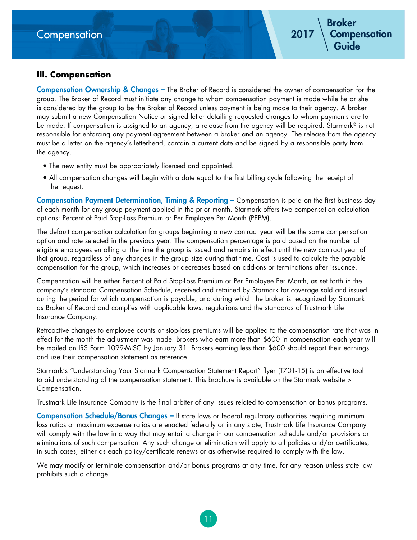# **III. Compensation**

**Compensation Ownership & Changes –** The Broker of Record is considered the owner of compensation for the group. The Broker of Record must initiate any change to whom compensation payment is made while he or she is considered by the group to be the Broker of Record unless payment is being made to their agency. A broker may submit a new Compensation Notice or signed letter detailing requested changes to whom payments are to be made. If compensation is assigned to an agency, a release from the agency will be required. Starmark® is not responsible for enforcing any payment agreement between a broker and an agency. The release from the agency must be a letter on the agency's letterhead, contain a current date and be signed by a responsible party from the agency.

- The new entity must be appropriately licensed and appointed.
- All compensation changes will begin with a date equal to the first billing cycle following the receipt of the request.

**Compensation Payment Determination, Timing & Reporting –** Compensation is paid on the first business day of each month for any group payment applied in the prior month. Starmark offers two compensation calculation options: Percent of Paid Stop-Loss Premium or Per Employee Per Month (PEPM).

The default compensation calculation for groups beginning a new contract year will be the same compensation option and rate selected in the previous year. The compensation percentage is paid based on the number of eligible employees enrolling at the time the group is issued and remains in effect until the new contract year of that group, regardless of any changes in the group size during that time. Cost is used to calculate the payable compensation for the group, which increases or decreases based on add-ons or terminations after issuance.

Compensation will be either Percent of Paid Stop-Loss Premium or Per Employee Per Month, as set forth in the company's standard Compensation Schedule, received and retained by Starmark for coverage sold and issued during the period for which compensation is payable, and during which the broker is recognized by Starmark as Broker of Record and complies with applicable laws, regulations and the standards of Trustmark Life Insurance Company.

Retroactive changes to employee counts or stop-loss premiums will be applied to the compensation rate that was in effect for the month the adjustment was made. Brokers who earn more than \$600 in compensation each year will be mailed an IRS Form 1099-MISC by January 31. Brokers earning less than \$600 should report their earnings and use their compensation statement as reference.

Starmark's "Understanding Your Starmark Compensation Statement Report" flyer (T701-15) is an effective tool to aid understanding of the compensation statement. This brochure is available on the Starmark website > Compensation.

Trustmark Life Insurance Company is the final arbiter of any issues related to compensation or bonus programs.

**Compensation Schedule/Bonus Changes –** If state laws or federal regulatory authorities requiring minimum loss ratios or maximum expense ratios are enacted federally or in any state, Trustmark Life Insurance Company will comply with the law in a way that may entail a change in our compensation schedule and/or provisions or eliminations of such compensation. Any such change or elimination will apply to all policies and/or certificates, in such cases, either as each policy/certificate renews or as otherwise required to comply with the law.

We may modify or terminate compensation and/or bonus programs at any time, for any reason unless state law prohibits such a change.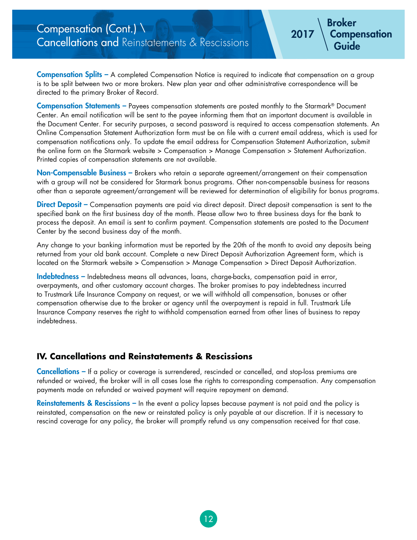**Compensation Splits –** A completed Compensation Notice is required to indicate that compensation on a group is to be split between two or more brokers. New plan year and other administrative correspondence will be directed to the primary Broker of Record.

**Broker**

**2017**

 **Guide**

 **Compensation**

**Compensation Statements –** Payees compensation statements are posted monthly to the Starmark® Document Center. An email notification will be sent to the payee informing them that an important document is available in the Document Center. For security purposes, a second password is required to access compensation statements. An Online Compensation Statement Authorization form must be on file with a current email address, which is used for compensation notifications only. To update the email address for Compensation Statement Authorization, submit the online form on the Starmark website > Compensation > Manage Compensation > Statement Authorization. Printed copies of compensation statements are not available.

**Non-Compensable Business –** Brokers who retain a separate agreement/arrangement on their compensation with a group will not be considered for Starmark bonus programs. Other non-compensable business for reasons other than a separate agreement/arrangement will be reviewed for determination of eligibility for bonus programs.

**Direct Deposit –** Compensation payments are paid via direct deposit. Direct deposit compensation is sent to the specified bank on the first business day of the month. Please allow two to three business days for the bank to process the deposit. An email is sent to confirm payment. Compensation statements are posted to the Document Center by the second business day of the month.

Any change to your banking information must be reported by the 20th of the month to avoid any deposits being returned from your old bank account. Complete a new Direct Deposit Authorization Agreement form, which is located on the Starmark website > Compensation > Manage Compensation > Direct Deposit Authorization.

**Indebtedness –** Indebtedness means all advances, loans, charge-backs, compensation paid in error, overpayments, and other customary account charges. The broker promises to pay indebtedness incurred to Trustmark Life Insurance Company on request, or we will withhold all compensation, bonuses or other compensation otherwise due to the broker or agency until the overpayment is repaid in full. Trustmark Life Insurance Company reserves the right to withhold compensation earned from other lines of business to repay indebtedness.

### **IV. Cancellations and Reinstatements & Rescissions**

**Cancellations –** If a policy or coverage is surrendered, rescinded or cancelled, and stop-loss premiums are refunded or waived, the broker will in all cases lose the rights to corresponding compensation. Any compensation payments made on refunded or waived payment will require repayment on demand.

**Reinstatements & Rescissions –** In the event a policy lapses because payment is not paid and the policy is reinstated, compensation on the new or reinstated policy is only payable at our discretion. If it is necessary to rescind coverage for any policy, the broker will promptly refund us any compensation received for that case.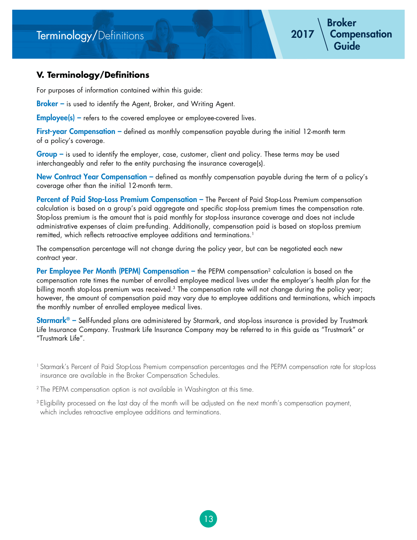# Terminology/Definitions

# **V. Terminology/Definitions**

For purposes of information contained within this guide:

**Broker** – is used to identify the Agent, Broker, and Writing Agent.

**Employee(s)** – refers to the covered employee or employee-covered lives.

First-year Compensation - defined as monthly compensation payable during the initial 12-month term of a policy's coverage.

**Group –** is used to identify the employer, case, customer, client and policy. These terms may be used interchangeably and refer to the entity purchasing the insurance coverage(s).

**New Contract Year Compensation –** defined as monthly compensation payable during the term of a policy's coverage other than the initial 12-month term.

**Percent of Paid Stop-Loss Premium Compensation –** The Percent of Paid Stop-Loss Premium compensation calculation is based on a group's paid aggregate and specific stop-loss premium times the compensation rate. Stop-loss premium is the amount that is paid monthly for stop-loss insurance coverage and does not include administrative expenses of claim pre-funding. Additionally, compensation paid is based on stop-loss premium remitted, which reflects retroactive employee additions and terminations.<sup>1</sup>

The compensation percentage will not change during the policy year, but can be negotiated each new contract year.

**Per Employee Per Month (PEPM) Compensation –** the PEPM compensation<sup>2</sup> calculation is based on the compensation rate times the number of enrolled employee medical lives under the employer's health plan for the billing month stop-loss premium was received.<sup>3</sup> The compensation rate will not change during the policy year; however, the amount of compensation paid may vary due to employee additions and terminations, which impacts the monthly number of enrolled employee medical lives.

**Starmark® –** Self-funded plans are administered by Starmark, and stop-loss insurance is provided by Trustmark Life Insurance Company. Trustmark Life Insurance Company may be referred to in this guide as "Trustmark" or "Trustmark Life".

1 Starmark's Percent of Paid Stop-Loss Premium compensation percentages and the PEPM compensation rate for stop-loss insurance are available in the Broker Compensation Schedules.

<sup>2</sup> The PEPM compensation option is not available in Washington at this time.

3 Eligibility processed on the last day of the month will be adjusted on the next month's compensation payment, which includes retroactive employee additions and terminations.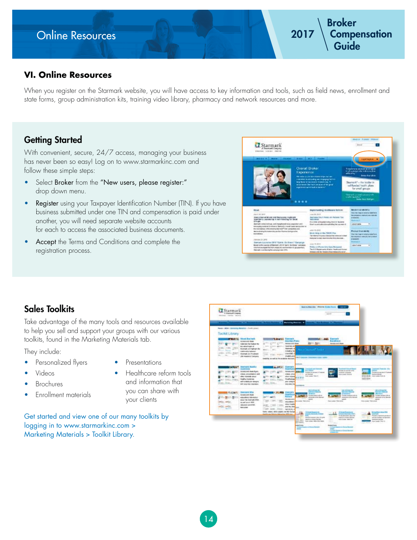# Online Resources

# **VI. Online Resources**

When you register on the Starmark website, you will have access to key information and tools, such as field news, enrollment and state forms, group administration kits, training video library, pharmacy and network resources and more.

# **Getting Started**

With convenient, secure, 24/7 access, managing your business has never been so easy! Log on to www.starmarkinc.com and follow these simple steps:

- Select Broker from the "New users, please register:" drop down menu.
- Register using your Taxpayer Identification Number (TIN). If you have business submitted under one TIN and compensation is paid under another, you will need separate website accounts for each to access the associated business documents.
- Accept the Terms and Conditions and complete the registration process.



# **Sales Toolkits**

Take advantage of the many tools and resources available to help you sell and support your groups with our various toolkits, found in the Marketing Materials tab.

They include:

- Personalized flyers
- Presentations
- Videos
- **Brochures**
- Enrollment materials
- 
- Healthcare reform tools and information that you can share with your clients

Get started and view one of our many toolkits by logging in to www.starmarkinc.com > Marketing Materials > Toolkit Library.

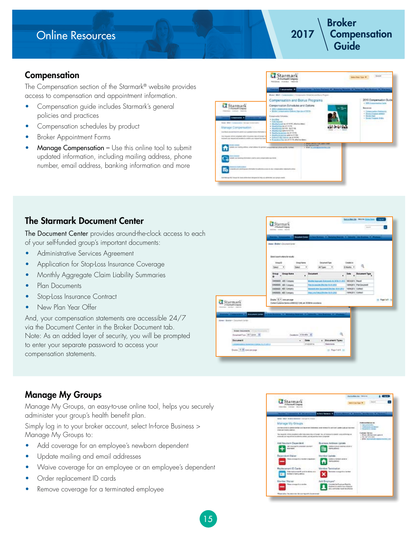# Online Resources



# **Compensation**

The Compensation section of the Starmark® website provides access to compensation and appointment information.

- Compensation guide includes Starmark's general policies and practices
- Compensation schedules by product
- Broker Appointment Forms
- **Manage Compensation –** Use this online tool to submit updated information, including mailing address, phone number, email address, banking information and more

|                                                                                                                                                                                                                                                                                                                | Starmark<br>A Stadford Conducts<br>resolves mixing. Houses                                                                                                                                                                                                                                                                                           | <b>beau from Trace #</b> | <b>Bargett</b>                                                                                                                                          |
|----------------------------------------------------------------------------------------------------------------------------------------------------------------------------------------------------------------------------------------------------------------------------------------------------------------|------------------------------------------------------------------------------------------------------------------------------------------------------------------------------------------------------------------------------------------------------------------------------------------------------------------------------------------------------|--------------------------|---------------------------------------------------------------------------------------------------------------------------------------------------------|
|                                                                                                                                                                                                                                                                                                                | Constanting Commercial International Automobile Business Changes Automobile Changes                                                                                                                                                                                                                                                                  |                          |                                                                                                                                                         |
|                                                                                                                                                                                                                                                                                                                | <b>Buter   Well   Teneroeded   Tresecute Schette and Butch Pigeri</b>                                                                                                                                                                                                                                                                                |                          |                                                                                                                                                         |
| Starmark<br>J Trainmark Consumer<br>excess const inclu<br><b>Composition #</b>                                                                                                                                                                                                                                 | Compensation and Bonus Programs<br>Compensation Echedules and Options<br>. Only Completed House<br>. Broke Consultation National Data as at 2005.<br>Employees Introduc-<br>4 Auction                                                                                                                                                                |                          | 2015 Competsation Guide<br>+ 1995 Communication County<br><b>Basicana</b><br>+ Consolation Namesco.<br>- Dona Financi estato<br>- Senta Traigion States |
| Bandy + Militi + Componenties + date gap Content traffice<br><b>Manage Compensation</b><br>I can bacal concentribute da conseil court contenent to tenir information<br>that the approximate competent with a simulation description and the<br>desired car record will studies in casility can report for two | + 3 still between<br>+ Buildulated in 41215 Jack4 Block<br>· Meant of the pacel in the<br>+ Box-Future Art 14 - Scott 14<br>4. Mountbuildige leake to 6/1/15.<br>+ Rowling Associations (security 1.9 19);<br>4 - Past Pro Incident cash and the 11 1930<br>. Instrument sites insurance and \$10 kill<br>+ Expertise Play as of 211% offering days: |                          |                                                                                                                                                         |
| peak your loading address artist seldoos for persoa syntagedisaction aftern and the historical<br>Shell can be registered from a filtery business process auto dealer                                                                                                                                          | or Pierre from the U.S. Commercials<br>with the project of<br>. Sheet to convenience markets com-                                                                                                                                                                                                                                                    |                          |                                                                                                                                                         |
| <b>CALL CARD CARD IN</b><br>property profit distribution of the building to the field of a contact of the College of the College of the College of                                                                                                                                                             |                                                                                                                                                                                                                                                                                                                                                      |                          |                                                                                                                                                         |
| DOTATIONAL REST FOR AT THE ARREST FOR AN ARREST AND A REST OF A SECOND CONTRACTOR CONTRACTOR                                                                                                                                                                                                                   |                                                                                                                                                                                                                                                                                                                                                      |                          |                                                                                                                                                         |

# **The Starmark Document Center**

The Document Center provides around-the-clock access to each of your self-funded group's important documents:

- Administrative Services Agreement
- Application for Stop-Loss Insurance Coverage
- Monthly Aggregate Claim Liability Summaries
- Plan Documents
- Stop-Loss Insurance Contract
- New Plan Year Offer

And, your compensation statements are accessible 24/7 via the Document Center in the Broker Document tab. Note: As an added layer of security, you will be prompted to enter your separate password to access your compensation statements.

|                                                                  | Li Starmark<br>of Danmark Consumer<br>entertain content director                                   |                                                                                                                                             |                                                           | brander in more treating and the<br><b>Service</b> |                 |
|------------------------------------------------------------------|----------------------------------------------------------------------------------------------------|---------------------------------------------------------------------------------------------------------------------------------------------|-----------------------------------------------------------|----------------------------------------------------|-----------------|
|                                                                  | Securities Come<br>stage - Bridge - Concreti Center                                                | <b>Property State</b>                                                                                                                       | and finally it is seen that the final of the party of the |                                                    |                 |
|                                                                  | State of control state frank<br><b>Deal</b><br><b>Drauj Kamd</b><br>lalant<br><b>Web</b>           | Determined Tigas:                                                                                                                           | Dealer in<br>L Nicolina                                   |                                                    |                 |
|                                                                  | <b>Group Group Kens</b>                                                                            | <b>Document</b><br>ï                                                                                                                        |                                                           | <b>Bate Document Type</b>                          |                 |
|                                                                  | <b>DETENTE: ABC Canaany</b><br><b>INGIRES ABC Congary</b><br><b>INDIAN ARCOMMY</b>                 | Months Economic Subcomes, EL (#36,11,011) (BRDGW1), Result<br>That the cannote Effective \$1.61,000.<br>Romediana Agreeard (Soche 5010 2017 |                                                           | 12062011 PlanDersherR<br>TORACOTT   Circlest       |                 |
|                                                                  | <b>DASSES ARCOMIST</b>                                                                             | TRIELINE CONSUMING TRIEL (PE)                                                                                                               |                                                           | <b>100K0013 CHRAT</b>                              |                 |
| Starmark<br>J Trampet Corpora                                    | Druhlar 75. 4 coverant store<br>Contact Customic Service of 800 023 1096, ed: 38398 for exceedance |                                                                                                                                             |                                                           |                                                    | to Family 1. to |
| Askering: restrikel, visitories<br><b>C</b> Established (street) | Africa Avenue, Il. Motores Avenue, Il Liverett, Ang Barbara, Il. Prodoby                           |                                                                                                                                             |                                                           |                                                    |                 |
| allows 1 Booker 1 Detectors Darker                               |                                                                                                    |                                                                                                                                             |                                                           |                                                    |                 |
| Scale Severette - Court Forest Links<br>DogelastTax 146 Tubire M | Dodgin Stones                                                                                      |                                                                                                                                             | 收                                                         |                                                    |                 |
| <b>Discussion</b>                                                | $\blacksquare$                                                                                     | Date<br>4 Society of Types                                                                                                                  |                                                           |                                                    |                 |
| ASHRAMA ANGELIANA NJERILI<br>Sigle: 11 M cost yer page           |                                                                                                    | <b>ANGIOSTIA</b><br><b>Homes</b>                                                                                                            | or Report of A.                                           |                                                    |                 |
|                                                                  |                                                                                                    |                                                                                                                                             |                                                           |                                                    |                 |

# **Manage My Groups**

Manage My Groups, an easy-to-use online tool, helps you securely administer your group's health benefit plan.

Simply log in to your broker account, select In-force Business > Manage My Groups to:

- Add coverage for an employee's newborn dependent
- Update mailing and email addresses
- Waive coverage for an employee or an employee's dependent
- Order replacement ID cards
- Remove coverage for a terminated employee